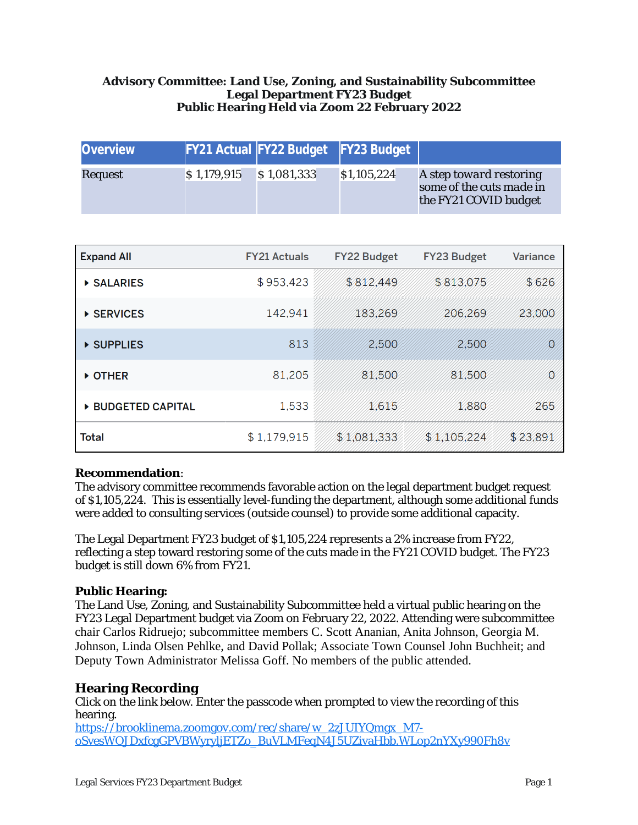## **Advisory Committee: Land Use, Zoning, and Sustainability Subcommittee Legal Department FY23 Budget Public Hearing Held via Zoom 22 February 2022**

| <b>Overview</b> |             | FY21 Actual FY22 Budget FY23 Budget |             |                                                                              |
|-----------------|-------------|-------------------------------------|-------------|------------------------------------------------------------------------------|
| Request         | \$1,179,915 | \$1,081,333                         | \$1,105,224 | A step toward restoring<br>some of the cuts made in<br>the FY21 COVID budget |

| <b>Expand All</b>  | <b>FY21 Actuals</b> | <b>FY22 Budget</b> | <b>FY23 Budget</b> | Variance |
|--------------------|---------------------|--------------------|--------------------|----------|
| <b>SALARIES</b>    | \$953,423           | \$812,449          | \$813,075          | \$626    |
| ▶ SERVICES         | 142,941             | 183,269            | 206,269            | 23,000   |
| ▶ SUPPLIES         | 813                 | 2,500              | 2,500              | $\Omega$ |
| DOTHER             | 81,205              | 81,500             | 81,500             | Ø        |
| ▶ BUDGETED CAPITAL | 1,533               | 1,615              | 1,880              | 265      |
| Total              | \$1,179,915         | \$1,081,333        | \$1,105,224        | \$23,891 |

#### **Recommendation**:

The advisory committee recommends favorable action on the legal department budget request of \$1,105,224. This is essentially level-funding the department, although some additional funds were added to consulting services (outside counsel) to provide some additional capacity.

The Legal Department FY23 budget of \$1,105,224 represents a 2% increase from FY22, reflecting a step toward restoring some of the cuts made in the FY21 COVID budget. The FY23 budget is still down 6% from FY21.

## **Public Hearing:**

The Land Use, Zoning, and Sustainability Subcommittee held a virtual public hearing on the FY23 Legal Department budget via Zoom on February 22, 2022. Attending were subcommittee chair Carlos Ridruejo; subcommittee members C. Scott Ananian, Anita Johnson, Georgia M. Johnson, Linda Olsen Pehlke, and David Pollak; Associate Town Counsel John Buchheit; and Deputy Town Administrator Melissa Goff. No members of the public attended.

#### **Hearing Recording**

Click on the link below. Enter the passcode when prompted to view the recording of this hearing.

[https://brooklinema.zoomgov.com/rec/share/w\\_2zJUIYQmgx\\_M7](https://brooklinema.zoomgov.com/rec/share/w_2zJUIYQmgx_M7-oSvesWOJDxfcgGPVBWyryljETZo_BuVLMFeqN4J5UZivaHbb.WLop2nYXy990Fh8v) oSvesWOJDxfcgGPVBWyryljETZo\_BuVLMFeqN4J5UZivaHbb.WLop2nYXy990Fh8v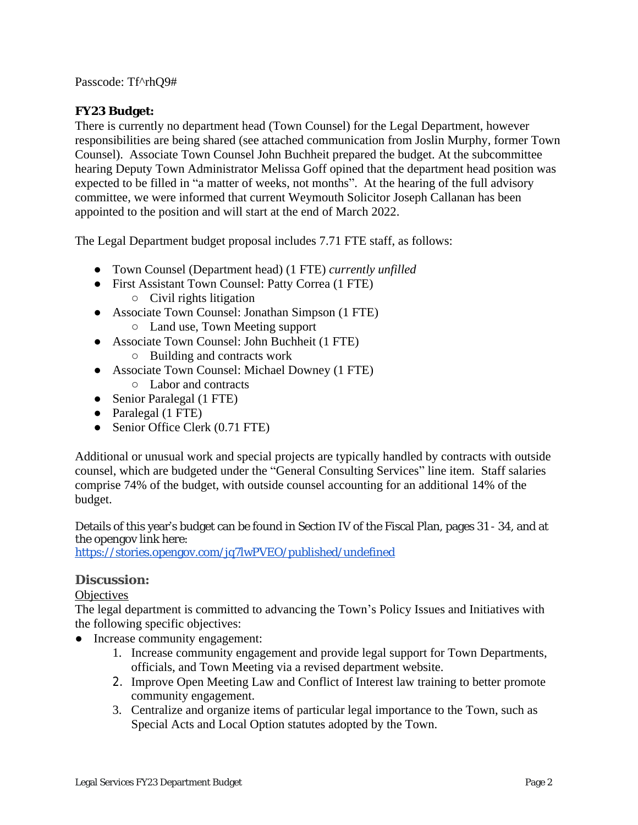Passcode: Tf^rhQ9#

# **FY23 Budget:**

There is currently no department head (Town Counsel) for the Legal Department, however responsibilities are being shared (see attached communication from Joslin Murphy, former Town Counsel). Associate Town Counsel John Buchheit prepared the budget. At the subcommittee hearing Deputy Town Administrator Melissa Goff opined that the department head position was expected to be filled in "a matter of weeks, not months". At the hearing of the full advisory committee, we were informed that current Weymouth Solicitor Joseph Callanan has been appointed to the position and will start at the end of March 2022.

The Legal Department budget proposal includes 7.71 FTE staff, as follows:

- Town Counsel (Department head) (1 FTE) *currently unfilled*
- First Assistant Town Counsel: Patty Correa (1 FTE)
	- $\circ$  Civil rights litigation
- Associate Town Counsel: Jonathan Simpson (1 FTE)
	- Land use, Town Meeting support
- Associate Town Counsel: John Buchheit (1 FTE)
	- Building and contracts work
- Associate Town Counsel: Michael Downey (1 FTE)
	- Labor and contracts
- Senior Paralegal (1 FTE)
- Paralegal (1 FTE)
- Senior Office Clerk (0.71 FTE)

Additional or unusual work and special projects are typically handled by contracts with outside counsel, which are budgeted under the "General Consulting Services" line item. Staff salaries comprise 74% of the budget, with outside counsel accounting for an additional 14% of the budget.

Details of this year's budget can be found in Section IV of the Fiscal Plan, pages 31 - 34, and at the opengov link here:

<https://stories.opengov.com/jq7lwPVEO/published/undefined>

# **Discussion:**

**Objectives** 

The legal department is committed to advancing the Town's Policy Issues and Initiatives with the following specific objectives:

- Increase community engagement:
	- 1. Increase community engagement and provide legal support for Town Departments, officials, and Town Meeting via a revised department website.
	- 2. Improve Open Meeting Law and Conflict of Interest law training to better promote community engagement.
	- 3. Centralize and organize items of particular legal importance to the Town, such as Special Acts and Local Option statutes adopted by the Town.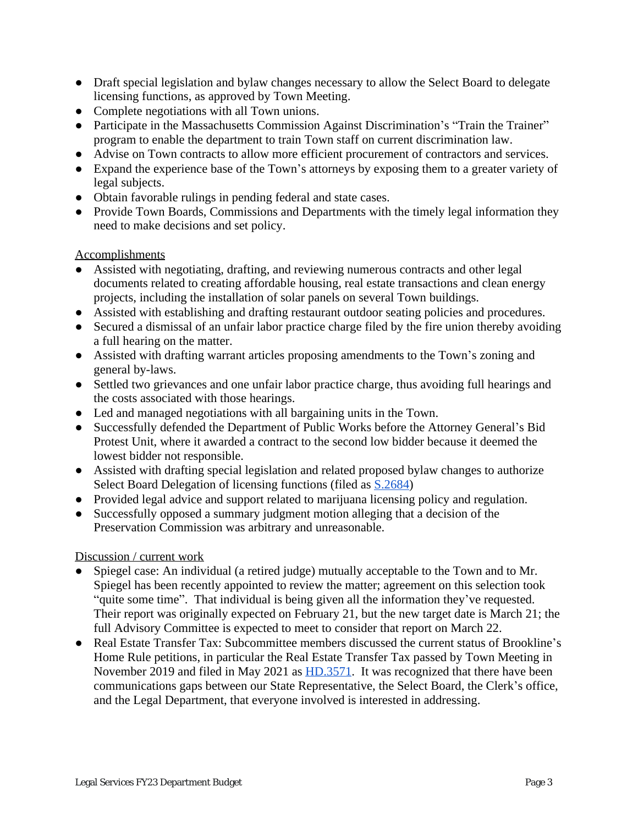- Draft special legislation and bylaw changes necessary to allow the Select Board to delegate licensing functions, as approved by Town Meeting.
- Complete negotiations with all Town unions.
- Participate in the Massachusetts Commission Against Discrimination's "Train the Trainer" program to enable the department to train Town staff on current discrimination law.
- Advise on Town contracts to allow more efficient procurement of contractors and services.
- Expand the experience base of the Town's attorneys by exposing them to a greater variety of legal subjects.
- Obtain favorable rulings in pending federal and state cases.
- Provide Town Boards, Commissions and Departments with the timely legal information they need to make decisions and set policy.

#### Accomplishments

- Assisted with negotiating, drafting, and reviewing numerous contracts and other legal documents related to creating affordable housing, real estate transactions and clean energy projects, including the installation of solar panels on several Town buildings.
- Assisted with establishing and drafting restaurant outdoor seating policies and procedures.
- Secured a dismissal of an unfair labor practice charge filed by the fire union thereby avoiding a full hearing on the matter.
- Assisted with drafting warrant articles proposing amendments to the Town's zoning and general by-laws.
- Settled two grievances and one unfair labor practice charge, thus avoiding full hearings and the costs associated with those hearings.
- Led and managed negotiations with all bargaining units in the Town.
- Successfully defended the Department of Public Works before the Attorney General's Bid Protest Unit, where it awarded a contract to the second low bidder because it deemed the lowest bidder not responsible.
- Assisted with drafting special legislation and related proposed bylaw changes to authorize Select Board Delegation of licensing functions (filed as [S.2684\)](https://malegislature.gov/Bills/192/S2684)
- Provided legal advice and support related to marijuana licensing policy and regulation.
- Successfully opposed a summary judgment motion alleging that a decision of the Preservation Commission was arbitrary and unreasonable.

#### Discussion / current work

- Spiegel case: An individual (a retired judge) mutually acceptable to the Town and to Mr. Spiegel has been recently appointed to review the matter; agreement on this selection took "quite some time". That individual is being given all the information they've requested. Their report was originally expected on February 21, but the new target date is March 21; the full Advisory Committee is expected to meet to consider that report on March 22.
- Real Estate Transfer Tax: Subcommittee members discussed the current status of Brookline's Home Rule petitions, in particular the Real Estate Transfer Tax passed by Town Meeting in November 2019 and filed in May 2021 as [HD.3571.](https://malegislature.gov/Bills/192/HD3571) It was recognized that there have been communications gaps between our State Representative, the Select Board, the Clerk's office, and the Legal Department, that everyone involved is interested in addressing.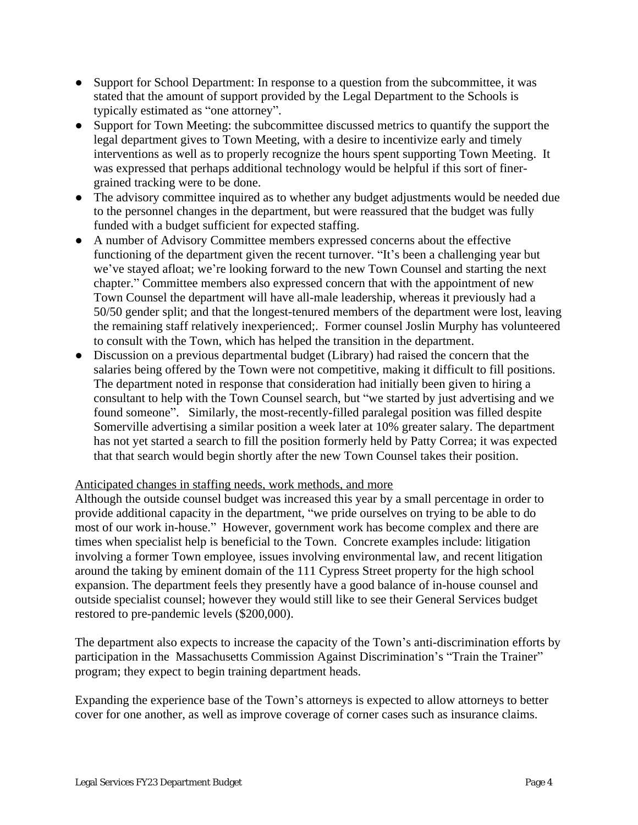- Support for School Department: In response to a question from the subcommittee, it was stated that the amount of support provided by the Legal Department to the Schools is typically estimated as "one attorney".
- Support for Town Meeting: the subcommittee discussed metrics to quantify the support the legal department gives to Town Meeting, with a desire to incentivize early and timely interventions as well as to properly recognize the hours spent supporting Town Meeting. It was expressed that perhaps additional technology would be helpful if this sort of finergrained tracking were to be done.
- The advisory committee inquired as to whether any budget adjustments would be needed due to the personnel changes in the department, but were reassured that the budget was fully funded with a budget sufficient for expected staffing.
- A number of Advisory Committee members expressed concerns about the effective functioning of the department given the recent turnover. "It's been a challenging year but we've stayed afloat; we're looking forward to the new Town Counsel and starting the next chapter." Committee members also expressed concern that with the appointment of new Town Counsel the department will have all-male leadership, whereas it previously had a 50/50 gender split; and that the longest-tenured members of the department were lost, leaving the remaining staff relatively inexperienced;. Former counsel Joslin Murphy has volunteered to consult with the Town, which has helped the transition in the department.
- Discussion on a previous departmental budget (Library) had raised the concern that the salaries being offered by the Town were not competitive, making it difficult to fill positions. The department noted in response that consideration had initially been given to hiring a consultant to help with the Town Counsel search, but "we started by just advertising and we found someone". Similarly, the most-recently-filled paralegal position was filled despite Somerville advertising a similar position a week later at 10% greater salary. The department has not yet started a search to fill the position formerly held by Patty Correa; it was expected that that search would begin shortly after the new Town Counsel takes their position.

## Anticipated changes in staffing needs, work methods, and more

Although the outside counsel budget was increased this year by a small percentage in order to provide additional capacity in the department, "we pride ourselves on trying to be able to do most of our work in-house." However, government work has become complex and there are times when specialist help is beneficial to the Town. Concrete examples include: litigation involving a former Town employee, issues involving environmental law, and recent litigation around the taking by eminent domain of the 111 Cypress Street property for the high school expansion. The department feels they presently have a good balance of in-house counsel and outside specialist counsel; however they would still like to see their General Services budget restored to pre-pandemic levels (\$200,000).

The department also expects to increase the capacity of the Town's anti-discrimination efforts by participation in the Massachusetts Commission Against Discrimination's "Train the Trainer" program; they expect to begin training department heads.

Expanding the experience base of the Town's attorneys is expected to allow attorneys to better cover for one another, as well as improve coverage of corner cases such as insurance claims.